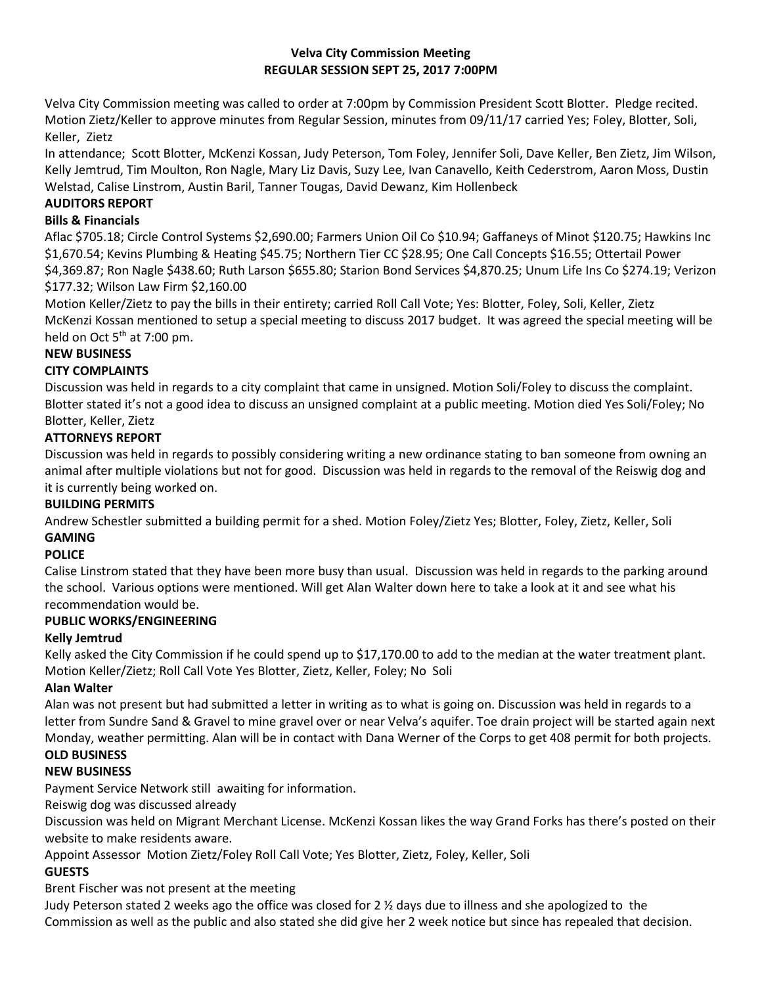### **Velva City Commission Meeting REGULAR SESSION SEPT 25, 2017 7:00PM**

Velva City Commission meeting was called to order at 7:00pm by Commission President Scott Blotter. Pledge recited. Motion Zietz/Keller to approve minutes from Regular Session, minutes from 09/11/17 carried Yes; Foley, Blotter, Soli, Keller, Zietz

In attendance; Scott Blotter, McKenzi Kossan, Judy Peterson, Tom Foley, Jennifer Soli, Dave Keller, Ben Zietz, Jim Wilson, Kelly Jemtrud, Tim Moulton, Ron Nagle, Mary Liz Davis, Suzy Lee, Ivan Canavello, Keith Cederstrom, Aaron Moss, Dustin Welstad, Calise Linstrom, Austin Baril, Tanner Tougas, David Dewanz, Kim Hollenbeck

## **AUDITORS REPORT**

### **Bills & Financials**

Aflac \$705.18; Circle Control Systems \$2,690.00; Farmers Union Oil Co \$10.94; Gaffaneys of Minot \$120.75; Hawkins Inc \$1,670.54; Kevins Plumbing & Heating \$45.75; Northern Tier CC \$28.95; One Call Concepts \$16.55; Ottertail Power \$4,369.87; Ron Nagle \$438.60; Ruth Larson \$655.80; Starion Bond Services \$4,870.25; Unum Life Ins Co \$274.19; Verizon \$177.32; Wilson Law Firm \$2,160.00

Motion Keller/Zietz to pay the bills in their entirety; carried Roll Call Vote; Yes: Blotter, Foley, Soli, Keller, Zietz McKenzi Kossan mentioned to setup a special meeting to discuss 2017 budget. It was agreed the special meeting will be held on Oct  $5<sup>th</sup>$  at 7:00 pm.

# **NEW BUSINESS**

### **CITY COMPLAINTS**

Discussion was held in regards to a city complaint that came in unsigned. Motion Soli/Foley to discuss the complaint. Blotter stated it's not a good idea to discuss an unsigned complaint at a public meeting. Motion died Yes Soli/Foley; No Blotter, Keller, Zietz

## **ATTORNEYS REPORT**

Discussion was held in regards to possibly considering writing a new ordinance stating to ban someone from owning an animal after multiple violations but not for good. Discussion was held in regards to the removal of the Reiswig dog and it is currently being worked on.

#### **BUILDING PERMITS**

Andrew Schestler submitted a building permit for a shed. Motion Foley/Zietz Yes; Blotter, Foley, Zietz, Keller, Soli **GAMING**

## **POLICE**

Calise Linstrom stated that they have been more busy than usual. Discussion was held in regards to the parking around the school. Various options were mentioned. Will get Alan Walter down here to take a look at it and see what his recommendation would be.

#### **PUBLIC WORKS/ENGINEERING**

#### **Kelly Jemtrud**

Kelly asked the City Commission if he could spend up to \$17,170.00 to add to the median at the water treatment plant. Motion Keller/Zietz; Roll Call Vote Yes Blotter, Zietz, Keller, Foley; No Soli

#### **Alan Walter**

Alan was not present but had submitted a letter in writing as to what is going on. Discussion was held in regards to a letter from Sundre Sand & Gravel to mine gravel over or near Velva's aquifer. Toe drain project will be started again next Monday, weather permitting. Alan will be in contact with Dana Werner of the Corps to get 408 permit for both projects.

## **OLD BUSINESS**

# **NEW BUSINESS**

Payment Service Network still awaiting for information.

Reiswig dog was discussed already

Discussion was held on Migrant Merchant License. McKenzi Kossan likes the way Grand Forks has there's posted on their website to make residents aware.

Appoint Assessor Motion Zietz/Foley Roll Call Vote; Yes Blotter, Zietz, Foley, Keller, Soli

#### **GUESTS**

Brent Fischer was not present at the meeting

Judy Peterson stated 2 weeks ago the office was closed for 2 ½ days due to illness and she apologized to the Commission as well as the public and also stated she did give her 2 week notice but since has repealed that decision.